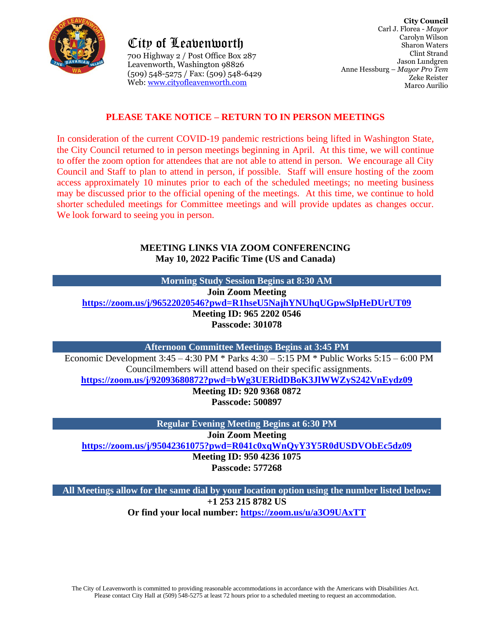

City of Leavenworth City of Leavenworth700 Highway 2 / Post Office Box 287 Leavenworth, Washington 98826 Leavenworth, Washington 98826 (509) 548-5275 / Fax: (509) 548-6429 Web: [www.cityofleavenworth.com](http://www.cityofleavenworth.com/)

## **PLEASE TAKE NOTICE – RETURN TO IN PERSON MEETINGS**

In consideration of the current COVID-19 pandemic restrictions being lifted in Washington State, the City Council returned to in person meetings beginning in April. At this time, we will continue to offer the zoom option for attendees that are not able to attend in person. We encourage all City Council and Staff to plan to attend in person, if possible. Staff will ensure hosting of the zoom access approximately 10 minutes prior to each of the scheduled meetings; no meeting business may be discussed prior to the official opening of the meetings. At this time, we continue to hold shorter scheduled meetings for Committee meetings and will provide updates as changes occur. We look forward to seeing you in person.

#### **MEETING LINKS VIA ZOOM CONFERENCING May 10, 2022 Pacific Time (US and Canada)**

**Morning Study Session Begins at 8:30 AM Join Zoom Meeting <https://zoom.us/j/96522020546?pwd=R1hseU5NajhYNUhqUGpwSlpHeDUrUT09> Meeting ID: 965 2202 0546 Passcode: 301078**

**Afternoon Committee Meetings Begins at 3:45 PM**

Economic Development 3:45 – 4:30 PM \* Parks 4:30 – 5:15 PM \* Public Works 5:15 – 6:00 PM Councilmembers will attend based on their specific assignments.

**<https://zoom.us/j/92093680872?pwd=bWg3UERidDBoK3JlWWZyS242VnEydz09>**

**Meeting ID: 920 9368 0872 Passcode: 500897**

**Regular Evening Meeting Begins at 6:30 PM**

**Join Zoom Meeting**

**<https://zoom.us/j/95042361075?pwd=R041c0xqWnQyY3Y5R0dUSDVObEc5dz09>**

**Meeting ID: 950 4236 1075**

**Passcode: 577268**

**All Meetings allow for the same dial by your location option using the number listed below: +1 253 215 8782 US Or find your local number: <https://zoom.us/u/a3O9UAxTT>**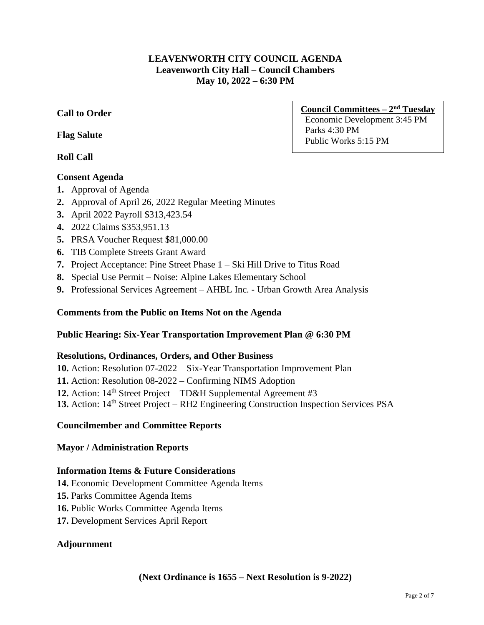## **LEAVENWORTH CITY COUNCIL AGENDA Leavenworth City Hall – Council Chambers May 10, 2022 – 6:30 PM**

# **Call to Order**

## **Flag Salute**

# **Roll Call**

# **Consent Agenda**

- **1.** Approval of Agenda
- **2.** Approval of April 26, 2022 Regular Meeting Minutes
- **3.** April 2022 Payroll \$313,423.54
- **4.** 2022 Claims \$353,951.13
- **5.** PRSA Voucher Request \$81,000.00
- **6.** TIB Complete Streets Grant Award
- **7.** Project Acceptance: Pine Street Phase 1 Ski Hill Drive to Titus Road
- **8.** Special Use Permit Noise: Alpine Lakes Elementary School
- **9.** Professional Services Agreement AHBL Inc. Urban Growth Area Analysis

## **Comments from the Public on Items Not on the Agenda**

## **Public Hearing: Six-Year Transportation Improvement Plan @ 6:30 PM**

#### **Resolutions, Ordinances, Orders, and Other Business**

**10.** Action: Resolution 07-2022 – Six-Year Transportation Improvement Plan

- **11.** Action: Resolution 08-2022 Confirming NIMS Adoption
- **12.** Action: 14<sup>th</sup> Street Project TD&H Supplemental Agreement #3
- 13. Action: 14<sup>th</sup> Street Project RH2 Engineering Construction Inspection Services PSA

## **Councilmember and Committee Reports**

## **Mayor / Administration Reports**

## **Information Items & Future Considerations**

- **14.** Economic Development Committee Agenda Items
- **15.** Parks Committee Agenda Items
- **16.** Public Works Committee Agenda Items
- **17.** Development Services April Report

## **Adjournment**

## **Council Committees – 2 nd Tuesday**

Economic Development 3:45 PM Parks 4:30 PM Public Works 5:15 PM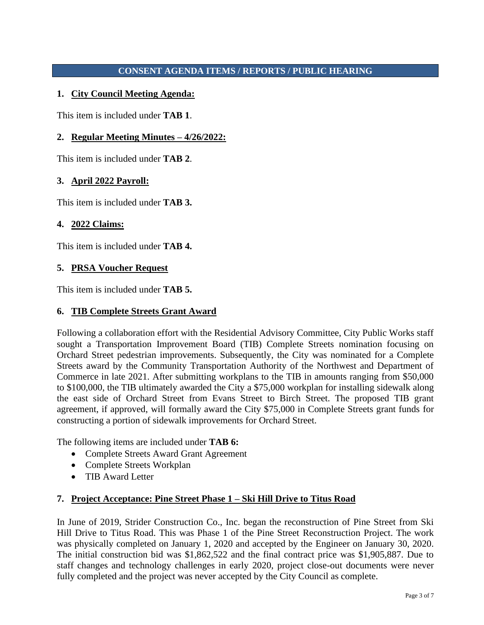## **CONSENT AGENDA ITEMS / REPORTS / PUBLIC HEARING**

## **1. City Council Meeting Agenda:**

This item is included under **TAB 1**.

## **2. Regular Meeting Minutes – 4/26/2022:**

This item is included under **TAB 2**.

#### **3. April 2022 Payroll:**

This item is included under **TAB 3.**

#### **4. 2022 Claims:**

This item is included under **TAB 4.**

#### **5. PRSA Voucher Request**

This item is included under **TAB 5.**

#### **6. TIB Complete Streets Grant Award**

Following a collaboration effort with the Residential Advisory Committee, City Public Works staff sought a Transportation Improvement Board (TIB) Complete Streets nomination focusing on Orchard Street pedestrian improvements. Subsequently, the City was nominated for a Complete Streets award by the Community Transportation Authority of the Northwest and Department of Commerce in late 2021. After submitting workplans to the TIB in amounts ranging from \$50,000 to \$100,000, the TIB ultimately awarded the City a \$75,000 workplan for installing sidewalk along the east side of Orchard Street from Evans Street to Birch Street. The proposed TIB grant agreement, if approved, will formally award the City \$75,000 in Complete Streets grant funds for constructing a portion of sidewalk improvements for Orchard Street.

The following items are included under **TAB 6:**

- Complete Streets Award Grant Agreement
- Complete Streets Workplan
- TIB Award Letter

## **7. Project Acceptance: Pine Street Phase 1 – Ski Hill Drive to Titus Road**

In June of 2019, Strider Construction Co., Inc. began the reconstruction of Pine Street from Ski Hill Drive to Titus Road. This was Phase 1 of the Pine Street Reconstruction Project. The work was physically completed on January 1, 2020 and accepted by the Engineer on January 30, 2020. The initial construction bid was \$1,862,522 and the final contract price was \$1,905,887. Due to staff changes and technology challenges in early 2020, project close-out documents were never fully completed and the project was never accepted by the City Council as complete.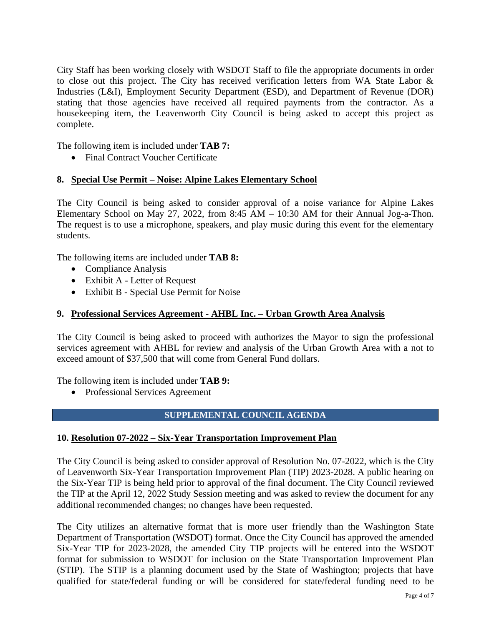City Staff has been working closely with WSDOT Staff to file the appropriate documents in order to close out this project. The City has received verification letters from WA State Labor & Industries (L&I), Employment Security Department (ESD), and Department of Revenue (DOR) stating that those agencies have received all required payments from the contractor. As a housekeeping item, the Leavenworth City Council is being asked to accept this project as complete.

The following item is included under **TAB 7:**

• Final Contract Voucher Certificate

#### **8. Special Use Permit – Noise: Alpine Lakes Elementary School**

The City Council is being asked to consider approval of a noise variance for Alpine Lakes Elementary School on May 27, 2022, from 8:45 AM  $-$  10:30 AM for their Annual Jog-a-Thon. The request is to use a microphone, speakers, and play music during this event for the elementary students.

The following items are included under **TAB 8:**

- Compliance Analysis
- Exhibit A Letter of Request
- Exhibit B Special Use Permit for Noise

## **9. Professional Services Agreement - AHBL Inc. – Urban Growth Area Analysis**

The City Council is being asked to proceed with authorizes the Mayor to sign the professional services agreement with AHBL for review and analysis of the Urban Growth Area with a not to exceed amount of \$37,500 that will come from General Fund dollars.

The following item is included under **TAB 9:**

• Professional Services Agreement

## **SUPPLEMENTAL COUNCIL AGENDA**

#### **10. Resolution 07-2022 – Six-Year Transportation Improvement Plan**

The City Council is being asked to consider approval of Resolution No. 07-2022, which is the City of Leavenworth Six-Year Transportation Improvement Plan (TIP) 2023-2028. A public hearing on the Six-Year TIP is being held prior to approval of the final document. The City Council reviewed the TIP at the April 12, 2022 Study Session meeting and was asked to review the document for any additional recommended changes; no changes have been requested.

The City utilizes an alternative format that is more user friendly than the Washington State Department of Transportation (WSDOT) format. Once the City Council has approved the amended Six-Year TIP for 2023-2028, the amended City TIP projects will be entered into the WSDOT format for submission to WSDOT for inclusion on the State Transportation Improvement Plan (STIP). The STIP is a planning document used by the State of Washington; projects that have qualified for state/federal funding or will be considered for state/federal funding need to be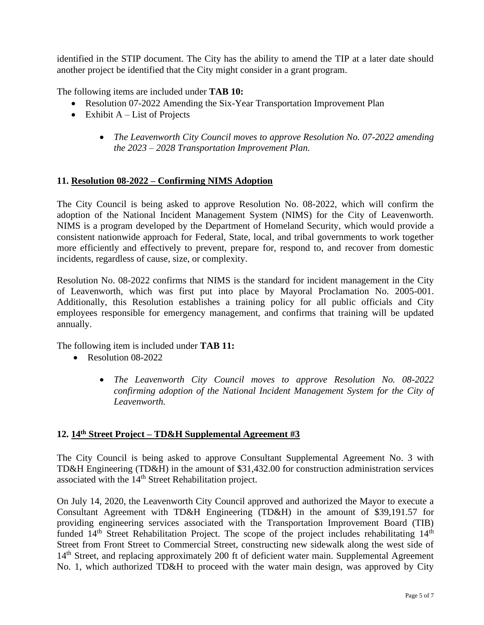identified in the STIP document. The City has the ability to amend the TIP at a later date should another project be identified that the City might consider in a grant program.

The following items are included under **TAB 10:**

- Resolution 07-2022 Amending the Six-Year Transportation Improvement Plan
- Exhibit  $A List$  of Projects
	- *The Leavenworth City Council moves to approve Resolution No. 07-2022 amending the 2023 – 2028 Transportation Improvement Plan.*

#### **11. Resolution 08-2022 – Confirming NIMS Adoption**

The City Council is being asked to approve Resolution No. 08-2022, which will confirm the adoption of the National Incident Management System (NIMS) for the City of Leavenworth. NIMS is a program developed by the Department of Homeland Security, which would provide a consistent nationwide approach for Federal, State, local, and tribal governments to work together more efficiently and effectively to prevent, prepare for, respond to, and recover from domestic incidents, regardless of cause, size, or complexity.

Resolution No. 08-2022 confirms that NIMS is the standard for incident management in the City of Leavenworth, which was first put into place by Mayoral Proclamation No. 2005-001. Additionally, this Resolution establishes a training policy for all public officials and City employees responsible for emergency management, and confirms that training will be updated annually.

The following item is included under **TAB 11:**

- Resolution 08-2022
	- *The Leavenworth City Council moves to approve Resolution No. 08-2022 confirming adoption of the National Incident Management System for the City of Leavenworth.*

# **12. 14th Street Project – TD&H Supplemental Agreement #3**

The City Council is being asked to approve Consultant Supplemental Agreement No. 3 with TD&H Engineering (TD&H) in the amount of \$31,432.00 for construction administration services associated with the 14<sup>th</sup> Street Rehabilitation project.

On July 14, 2020, the Leavenworth City Council approved and authorized the Mayor to execute a Consultant Agreement with TD&H Engineering (TD&H) in the amount of \$39,191.57 for providing engineering services associated with the Transportation Improvement Board (TIB) funded 14<sup>th</sup> Street Rehabilitation Project. The scope of the project includes rehabilitating 14<sup>th</sup> Street from Front Street to Commercial Street, constructing new sidewalk along the west side of 14<sup>th</sup> Street, and replacing approximately 200 ft of deficient water main. Supplemental Agreement No. 1, which authorized TD&H to proceed with the water main design, was approved by City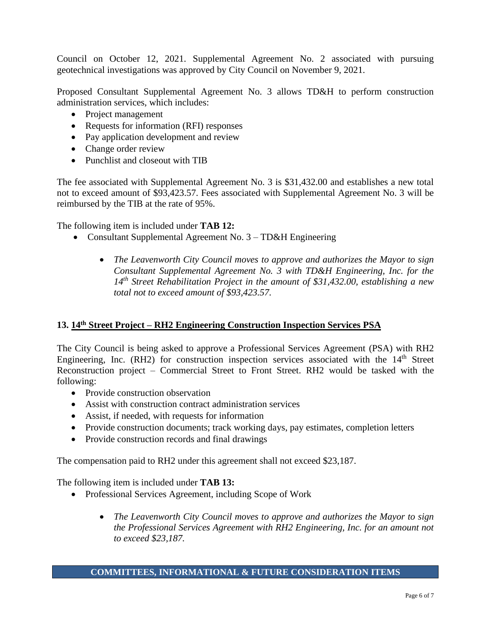Council on October 12, 2021. Supplemental Agreement No. 2 associated with pursuing geotechnical investigations was approved by City Council on November 9, 2021.

Proposed Consultant Supplemental Agreement No. 3 allows TD&H to perform construction administration services, which includes:

- Project management
- Requests for information (RFI) responses
- Pay application development and review
- Change order review
- Punchlist and closeout with TIB

The fee associated with Supplemental Agreement No. 3 is \$31,432.00 and establishes a new total not to exceed amount of \$93,423.57. Fees associated with Supplemental Agreement No. 3 will be reimbursed by the TIB at the rate of 95%.

The following item is included under **TAB 12:**

- Consultant Supplemental Agreement No. 3 TD&H Engineering
	- *The Leavenworth City Council moves to approve and authorizes the Mayor to sign Consultant Supplemental Agreement No. 3 with TD&H Engineering, Inc. for the 14th Street Rehabilitation Project in the amount of \$31,432.00, establishing a new total not to exceed amount of \$93,423.57.*

## **13. 14th Street Project – RH2 Engineering Construction Inspection Services PSA**

The City Council is being asked to approve a Professional Services Agreement (PSA) with RH2 Engineering, Inc.  $(RH2)$  for construction inspection services associated with the  $14<sup>th</sup>$  Street Reconstruction project – Commercial Street to Front Street. RH2 would be tasked with the following:

- Provide construction observation
- Assist with construction contract administration services
- Assist, if needed, with requests for information
- Provide construction documents; track working days, pay estimates, completion letters
- Provide construction records and final drawings

The compensation paid to RH2 under this agreement shall not exceed \$23,187.

The following item is included under **TAB 13:**

- Professional Services Agreement, including Scope of Work
	- *The Leavenworth City Council moves to approve and authorizes the Mayor to sign the Professional Services Agreement with RH2 Engineering, Inc. for an amount not to exceed \$23,187.*